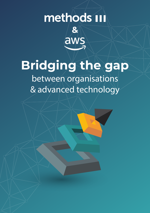## methods in **&**

# **Bridging the gap**

áw

between organisations & advanced technology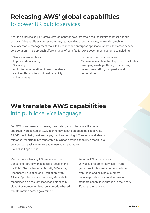## **Releasing AWS' global capabilities**  to power UK public services

AWS is an increasingly attractive environment for governments, because it knits together a range of powerful capabilities such as compute, storage, databases, analytics, networking, mobile, developer tools, management tools, IoT, security and enterprise applications that allow cross-service collaboration. This approach offers a range of benefits for AWS government customers, including:

- Service interoperability
- Improved data sharing
- Scalability
- Ability for incorporation of new cloud-based service offerings for continual capability enhancement
- Re-use across public services
- Microservice architectural approach facilitates leveraging existing offerings, minimising development effort, complexity, and technical debt.

## **We translate AWS capabilities** into public service language

For AWS government customers, the challenge is to 'translate' the huge opportunity presented by AWS' technology-centric products (e.g. analytics, AR/VR, blockchain, business apps, machine learning, IoT, security and identity, migration, reporting) into repeatable, business-centric capabilities that public services can easily relate to, and re-use again and again – a bit like Lego bricks.

Methods are a leading AWS Advanced Tier Consulting Partner with a specific focus on the UK Public Sector, National Security & Defence, Healthcare, Education and Regulation. With 25 years' public sector experience, Methods is recognised as a thought leader and pioneer in cloud-first, componentised, consumption- based transformation across government.

We offer AWS customers an unrivalled breadth of services – from getting senior business leaders on board with Cloud and helping customers re-conceptualise their services around standard capabilities, through to the 'heavy lifting' at the back end.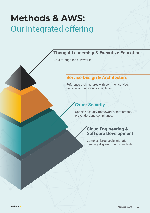## **Methods & AWS:**  Our integrated offering

#### **Thought Leadership & Executive Education**

...cut through the buzzwords.

#### **Service Design & Architecture**

Reference architectures with common service patterns and enabling capabilities.

#### **Cyber Security**

Concise security frameworks, data breach, prevention, and compliance.

#### **Cloud Engineering & Software Development**

Complex, large-scale migration meeting all government standards.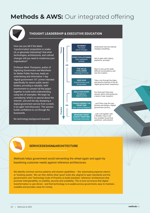## **Methods & AWS: Our integrated offering**

#### **THOUGHT LEADERSHIP & EXECUTIVE EDUCATION**

How can you tell if the latest 'transformation' proposition is snakeoil, or genuinely interesting? And what technologies, architectures, and cultural changes will you need to modernise your organisation?

Professor Mark Thompson, author of Digitizing Government and Manifesto for Better Public Services, leads an entertaining and informative 1-day 'digital government 101' primer intended specifically for senior public sector leaders, providing a valuable, 'safe' environment to connect all the jargon together to build solid understanding, using lots of examples. We begin by considering 'what's so special about the internet', and end the day designing a digital government service from scratch, in an agile 'mini-Discovery'. The session builds confidence to cut through the buzzwords.

No technology background required



#### **SERVICE DESIGN & ARCHITECTURE**

Methods helps government avoid reinventing the wheel again and again by baselining customer needs against reference architectures.

We identify common service patterns and shared capabilities - like 'automating expense claims', or 'tracking assets'. We can then define what 'good' looks like, aligned to open standards and the government's own Technology Code of Practice, to build standard, 'reference' architectures that promote interoperability, re-usability, security and scalability. This is how we ensure that digital transformation is user-driven - and that technology is re-usable across government, easy to maintain, scalable and provides value for money.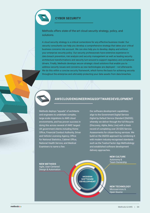

#### **CYBER SECURITY**

Methods offers state-of-the-art cloud security strategy, policy, and solutions.

A cloud security strategy is a critical cornerstone for any effective business model. Our security consultants can help you develop a comprehensive strategy that takes your critical business concerns into account. We can also help you to develop, deploy and enforce your enterprise security policy. Our security professionals have extensive experience in data breach prevention, risk analysis and security management as well as leading security architecture transformations and security turn-around to support regulatory and compliance drivers. Finally, Methods develops secure strategic cloud solutions that enable you to address security issues and concerns as new technologies are deployed – not afterwards. We do this within a concise security framework, which forms the basis for achieving security throughout the enterprise and ultimately protecting your data assets from data breaches.



Methods deploys "squads" of architects and engineers to undertake complex, large-scale migrations to AWS cloud environments, and has proven success in doing this across several of AWS' largest UK government clients including Home Office, Financial Conduct Authority, Driver and Vehicle Licensing Agency, Office for National Statistics, Cabinet Office, National Health Service, and Medical Examiners to name a few.

Our software development capabilities align to the Government Digital Service *Digital by Default Service Standard* (DbDSS); whereby we deliver through the full lifecycle (Discovery, Alpha, Beta, Live) with a track record of completing over 20 GDS Service Assessments for citizen-facing services. We build on the DbDSS approach by combining it with modern industry-recognised standards such as the Twelve-Factor App Methodology and established software development delivery approaches.

> **NEW CULTURE** Autonomy & Team Ownership

**NEW METHODS** Agile, User-Centered Design & Automation

**MODERN SOFTWARE DEVELOPMENT**

**NEW TECHNOLOGY** Microservices & Open Source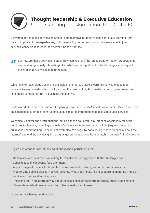

### **Thought leadership & Executive Education**

Understanding transformation: The Digital 101

Delivering better public services on smaller administrative budgets means continually learning from data to improve citizen experiences, whilst leveraging common or commodity resources to join services, conserve resources, and better fund the frontline.

" But how are these activities related? How can you tell if the latest 'transformation' proposition is snake-oil, or genuinely interesting? And what are the significant cultural changes, and ways of thinking, that you will need to bring about?

Whilst lots of technology training is available in the market, there is currently very little education available to senior leaders that quickly covers the basics of digital transformation in government, and joins these all together from a business perspective.

Professor Mark Thompson, author of *Digitizing Government* and *Manifesto for Better Public Services*, leads an experienced Methods team running unique, tailored introductions to digitizing public services.

We typically deliver short introductions lasting either a half or full day intended specifically for senior public sector leaders, providing a valuable, 'safe' environment to connect all the jargon together to build solid understanding, using lots of examples. We begin by considering 'what's so special about the internet', and end the day designing a digital government service from scratch, in an agile 'mini-Discovery'.

Regardless of the format, at the end of our session, participants will:

- Be familiar with the dimensions of digital transformation, together with the challenges and opportunities this presents for government
- Apply a range of models, tools and techniques to develop strategies and business cases for modernizing public services – as well as know what 'good' looks like in supporting operating models, service and technical architectures
- Think and talk in an informed way about the challenges of transforming legacy public organizations into modern, data-driven services that citizens really want to use.

No technology background required.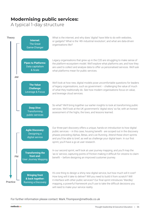### **Modernising public services:**

A typical 1-day structure

| <b>Theory</b>   | Internet:<br><b>The Great</b><br>Game-Changer                        | What is the internet, and why does 'digital' have little to do with websites,<br>or gadgets? What is the '4th industrial revolution', and what are data-driven<br>organisations like?                                                                                                                                                                                                  |
|-----------------|----------------------------------------------------------------------|----------------------------------------------------------------------------------------------------------------------------------------------------------------------------------------------------------------------------------------------------------------------------------------------------------------------------------------------------------------------------------------|
|                 | <b>Pipes to Platforms:</b><br>Data capitalism<br>& Scale             | Legacy organisations that grew up in the C20 are struggling to make sense of<br>the platform-ecosystem model. We'll explore what platforms are, and how they<br>are used to collect and analyse data to offer us personalised services. We'll ask<br>what platforms mean for public services.                                                                                          |
| AM              | <b>The Value</b><br><b>Challenge:</b><br>Leverage & Focus            | We'll look at how new, digital models pose uncomfortable questions for leaders<br>of legacy organisations, such as government - challenging the value of much<br>of what they traditionally do. See how modern organisations focus on value,<br>and leverage cloud services.                                                                                                           |
|                 | <b>Deep Dive:</b><br>Transforming<br>public services                 | So what? We'll bring together our earlier insights to look at transforming public<br>services. We'll look at the UK government's 'digital story' so far, with an honest<br>assessment of the highs, the lows, and lessons learned.                                                                                                                                                     |
|                 | <b>Agile Discovery:</b><br>Designing a<br>digital service            | Our three-part discovery offers a unique, hands-on introduction to how digital<br>public services - in this case, housing benefit - are scoped out in the discovery<br>phases preceding Alphas, Betas, and Live Running. Attend these short sprints<br>and you'll be able to brief, as well as challenge your digital team. In our first<br>sprint, you'll have a go at user research. |
| <b>PM</b>       | <b>Transforming the</b><br>front end:<br><b>User Journey Mapping</b> | In our second sprint, we'll look at user journey mapping, and you'll map the<br>'as-is' service, capturing points of friction making it difficult for citizens to claim<br>benefit - before designing an improved customer journey.                                                                                                                                                    |
| <b>Practice</b> | <b>Bringing front</b><br>& back together:<br>Running a Discovery     | It's one thing to design a shiny new digital service, but how much will it cost?<br>How long will it take to deliver? Will you need to build it from scratch? Will<br>it interface with other public services? Our final sprint introduces 'Wardley'<br>mapping, a powerful framework you'll use to take the difficult decisions you<br>will need to make your service reality.        |

For further information please contact: Mark.Thompson@methods.co.uk

methods **III**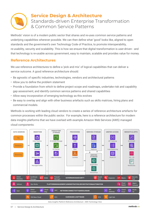

#### **Service Design & Architecture** Standards-driven Enterprise Transformation & Common Service Patterns

Methods' vision is of a modern public sector that shares and re-uses common service patterns and underlying capabilities wherever possible. We can then define what 'good' looks like, aligned to open standards and the government's own Technology Code of Practice, to promote interoperability, re-usability, security and scalability. This is how we ensure that digital transformation is user-driven - and that technology is re-usable across government, easy to maintain, scalable and provides value for money.

#### **Reference Architectures**

We use reference architectures to define a 'pick and mix' of logical capabilities that can deliver a service outcome. A good reference architecture should:

- Be agnostic of specific industries, technologies, vendors and architectural patterns
- Allow you to define the problem statement
- Provide a foundation from which to define project scope and roadmaps, undertake risk and capability gap assessment, and identify common service patterns and shared capabilities
- Allow easy incorporation of emerging technology as this evolves
- Be easy to overlay and align with other business artefacts such as skills matrices, hiring plans and commercial models.

Methods is working with leading cloud vendors to create a series of reference architecture artefacts for common processes within the public sector. For example, here is a reference architecture for modern data insights platforms that we have overlaid with example Amazon Web Services (AWS) managed cloud components:

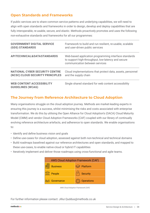#### **Open Standards and Frameworks**

If public services are to share common service patterns and underlying capabilities, we will need to align with open standards and frameworks in order to design, develop and deploy capabilities that are fully interoperable, re-usable, secure, and elastic. Methods proactively promotes and uses the following non-exhaustive standards and frameworks for all our programmes:

| <b>GOVERNMENT DIGITAL SERVICE</b>                            | Framework to build and run resilient, re-usable, scalable                                                                                     |
|--------------------------------------------------------------|-----------------------------------------------------------------------------------------------------------------------------------------------|
| <b>(GDS) STANDARDS</b>                                       | and user-driven public services                                                                                                               |
| <b>APITECHNICAL&amp;DATASTANDARDS</b>                        | Web-based application programming interface standards<br>to support high-throughput, low-latency and secure<br>communication between services |
| <b>NATIONAL CYBER SECURITY CENTRE</b>                        | Cloud implementations that protect data, assets, personnel                                                                                    |
| (NCSC) CLOUD SECURITY PRINCIPLES                             | and the supply chain                                                                                                                          |
| <b>WEB CONTENT ACCESSIBILITY</b><br><b>GUIDELINES (WCAG)</b> | Single shared standard for web content accessibility                                                                                          |

#### **The Journey from Reference Architecture to Cloud Adoption**

Many organisations struggle on the cloud adoption journey. Methods are market-leading experts in ensuring this journey is a success, whilst minimising the risks and costs associated with enterprise transformation. We do this by utilising the Open Alliance for Cloud Adoption's (OACA) Cloud Maturity Model (CMM) and vendor Cloud Adoption Frameworks (CAF) coupled with our library of continually evolving reference architecture artefacts, and adherence to open standards. We enable organisations to:

- Identify and define business vision and goals
- Define use-cases for cloud adoption, assessed against both non-technical and technical domains
- Build roadmaps baselined against our reference architectures and open standards, and mapped to these use-cases, to enable native-cloud or hybrid IT capabilities
- Iteratively implement and deliver those roadmaps using cross-functional and agile teams.

| <b>AWS Cloud Adoption Framework (CAF)</b> |                         |  |  |
|-------------------------------------------|-------------------------|--|--|
| <b>Business</b>                           | <b>Example</b> Platform |  |  |
| <b>THE People</b>                         | Security                |  |  |
| Governance                                | O> Operations           |  |  |

*AWS Cloud Adoption Framework (CAF)*

For further information please contact: Jillur.Quddus@methods.co.uk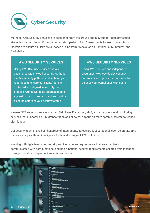

Methods' AWS Security Services are positioned from the ground and fully support data protection strategies for our clients. Our experienced staff perform Risk Assessments for each project from inception to ensure all Risks are surfaced arising from Areas such as Confidentiality, Integrity, and Availability.

Using AWS Security Services and our experience within cloud security, Methods identify security patterns and technology roadmaps to ensure our clients' data is protected and aligned to security best practice. Our deliverables are measurable against industry standards and we provide clear indicators of your security status

#### **AWS SECURITY SERVICES AWS SECURITY SERVICES**

Using AWS controls and independent assurance, Methods deploy security controls based upon your risk profile to balance your compliance with costs

We use AWS security services such as Field Level Encryption, KMS, and extensive cloud monitoring services that support Security Orchestration and allow for a focus on more complex threats to reduce alert fatigue.

Our security teams have built hundreds of integrations, across product categories such as SIEMs, EDR, malware analysis, threat intelligence tools, and a range of AWS solutions.

Working with Agile teams our security architects define requirements that are effectively communicated with both functional and non-functional security requirements collated from inception to support go-live independent security assurance.

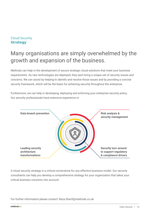#### Cloud Security **Strategy**

### Many organisations are simply overwhelmed by the growth and expansion of the business.

Methods can help in the development of secure strategic cloud solutions that meet your business requirements. As new technologies are deployed, they each bring a unique set of security issues and concerns. We can assist by helping to identify and resolve those issues and by providing a concise security framework, which will be the basis for achieving security throughout the enterprise.

Furthermore, we can help in developing, deploying and enforcing your enterprise security policy. Our security professionals have extensive experience in:



A cloud security strategy is a critical cornerstone for any effective business model. Our security consultants can help you develop a comprehensive strategy for your organization that takes your critical business concerns into account.

For further information please contact: Raza.Sharif@methods.co.uk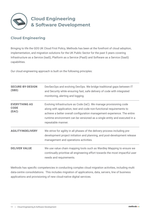

#### **Cloud Engineering**

Bringing to life the GDS UK Cloud First Policy, Methods has been at the forefront of cloud adoption, implementation, and migration solutions for the UK Public Sector for the past 5 years covering Infrastructure as a Service (IaaS), Platform as a Service (PaaS) and Software as a Service (SaaS) capabilities.

Our cloud engineering approach is built on the following principles:

| <b>SECURE-BY-DESIGN</b><br>(SBD)             | DevSecOps and evolving DevOps. We bridge traditional gaps between IT<br>and Security while ensuring fast, safe delivery of code with integrated<br>monitoring, alerting and logging.                                                                                                                                      |
|----------------------------------------------|---------------------------------------------------------------------------------------------------------------------------------------------------------------------------------------------------------------------------------------------------------------------------------------------------------------------------|
| <b>EVERYTHING AS</b><br><b>CODE</b><br>(EAC) | Evolving Infrastructure as Code (IaC). We manage provisioning code<br>along with application, test and code non-functional requirements to<br>achieve a better overall configuration management experience. The entire<br>runtime environment can be versioned as a single entity and executed in a<br>repeatable manner. |
| <b>AGILITYINDELIVERY</b>                     | We strive for agility in all phases of the delivery process including pre-<br>development project initiation and planning, and post-development release<br>management and operations activities.                                                                                                                          |
| <b>DELIVER VALUE</b>                         | We use value chain mapping tools such as Wardley Mapping to ensure we<br>continually prioritise all engineering effort towards the most impactful user<br>needs and requirements.                                                                                                                                         |

Methods has specific competencies in conducting complex cloud migration activities, including multi data-centre consolidations. This includes migration of applications, data, servers, line of business applications and provisioning of new cloud-native digital services.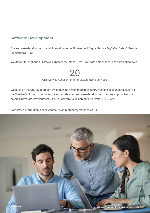#### **Software Development**

Our software development capabilities align to the Government Digital Service *Digital by Default Service Standard* (DbDSS).

We deliver through the full lifecycle (Discovery, Alpha, Beta, Live) with a track record of completing over

## 20

GDS Service Assessments for citizen facing services.

We build on the DbDSS approach by combining it with modern industry recognised standards such as the Twelve-Factor App methodology and established software development delivery approaches such as Agile Software Development, Secure Software Development Life Cycle (SDLC) etc.

For further information please contact: Alan.Morgans@methods.co.uk

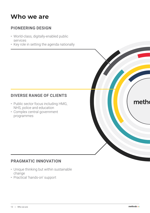## **Who we are**

#### **PIONEERING DESIGN**

- World-class, digitally-enabled public services
- Key role in setting the agenda nationally

#### **DIVERSE RANGE OF CLIENTS**

- Public sector focus including HMG, NHS, police and education
- Complex central government programmes

#### **PRAGMATIC INNOVATION**

- Unique thinking but within sustainable change
- Practical 'hands-on' support

meth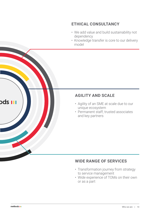#### **ETHICAL CONSULTANCY**

- We add value and build sustainability not dependency
- Knowledge transfer is core to our delivery model

#### **AGILITY AND SCALE**

- Agility of an SME at scale due to our unique ecosystem
- Permanent staff, trusted associates and key partners

#### **WIDE RANGE OF SERVICES**

- Transformation journey from strategy to service management
- Wide experience of TOMs on their own or as a part

**ods III**